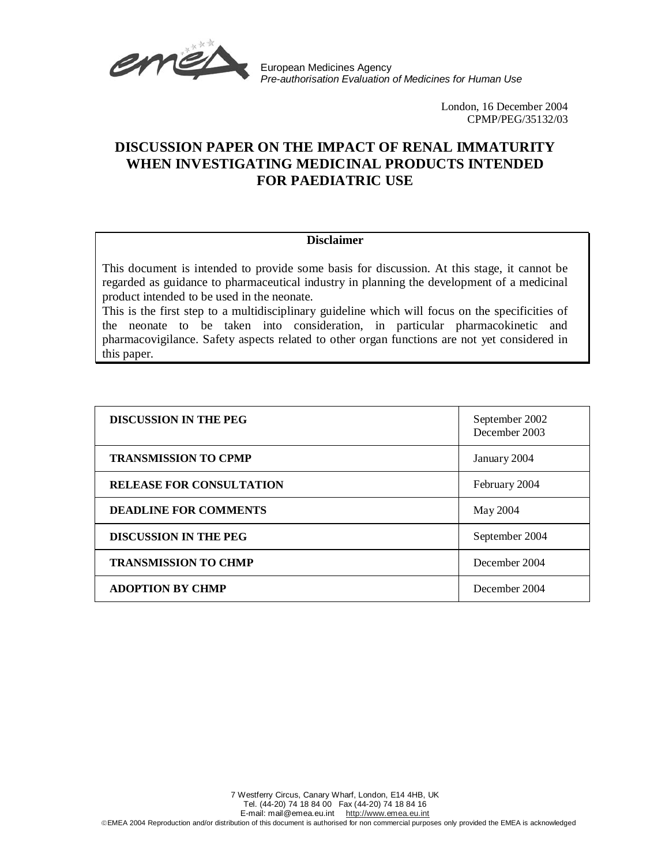

European Medicines Agency Pre-authorisation Evaluation of Medicines for Human Use

> London, 16 December 2004 CPMP/PEG/35132/03

# **DISCUSSION PAPER ON THE IMPACT OF RENAL IMMATURITY WHEN INVESTIGATING MEDICINAL PRODUCTS INTENDED FOR PAEDIATRIC USE**

# **Disclaimer**

This document is intended to provide some basis for discussion. At this stage, it cannot be regarded as guidance to pharmaceutical industry in planning the development of a medicinal product intended to be used in the neonate.

This is the first step to a multidisciplinary guideline which will focus on the specificities of the neonate to be taken into consideration, in particular pharmacokinetic and pharmacovigilance. Safety aspects related to other organ functions are not yet considered in this paper.

| <b>DISCUSSION IN THE PEG</b>    | September 2002<br>December 2003 |
|---------------------------------|---------------------------------|
| <b>TRANSMISSION TO CPMP</b>     | January 2004                    |
| <b>RELEASE FOR CONSULTATION</b> | February 2004                   |
| <b>DEADLINE FOR COMMENTS</b>    | May 2004                        |
| <b>DISCUSSION IN THE PEG</b>    | September 2004                  |
| <b>TRANSMISSION TO CHMP</b>     | December 2004                   |
| <b>ADOPTION BY CHMP</b>         | December 2004                   |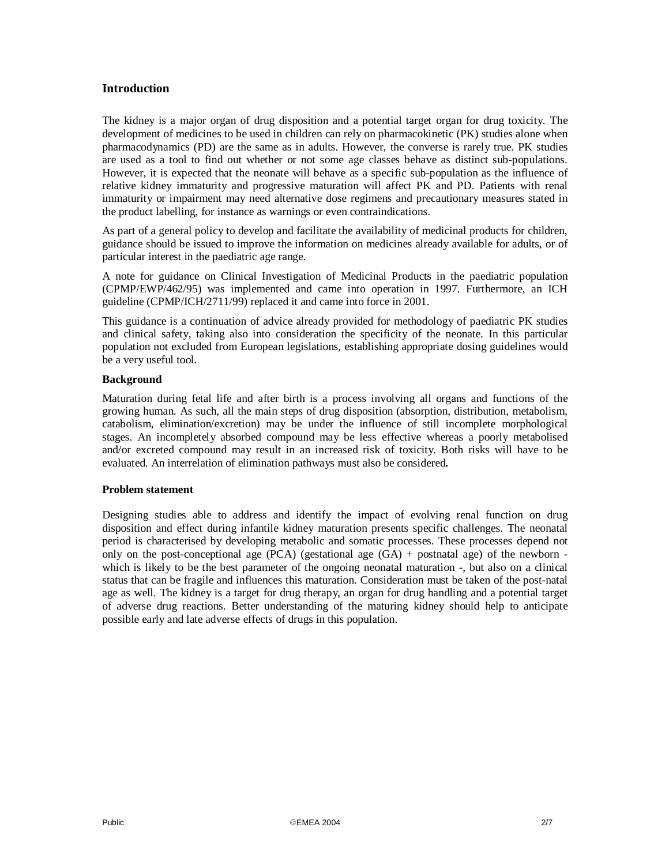# **Introduction**

The kidney is a major organ of drug disposition and a potential target organ for drug toxicity. The development of medicines to be used in children can rely on pharmacokinetic (PK) studies alone when pharmacodynamics (PD) are the same as in adults. However, the converse is rarely true. PK studies are used as a tool to find out whether or not some age classes behave as distinct sub-populations. However, it is expected that the neonate will behave as a specific sub-population as the influence of relative kidney immaturity and progressive maturation will affect PK and PD. Patients with renal immaturity or impairment may need alternative dose regimens and precautionary measures stated in the product labelling, for instance as warnings or even contraindications.

As part of a general policy to develop and facilitate the availability of medicinal products for children, guidance should be issued to improve the information on medicines already available for adults, or of particular interest in the paediatric age range.

A note for guidance on Clinical Investigation of Medicinal Products in the paediatric population (CPMP/EWP/462/95) was implemented and came into operation in 1997. Furthermore, an ICH guideline (CPMP/ICH/2711/99) replaced it and came into force in 2001.

This guidance is a continuation of advice already provided for methodology of paediatric PK studies and clinical safety, taking also into consideration the specificity of the neonate. In this particular population not excluded from European legislations, establishing appropriate dosing guidelines would be a very useful tool.

### **Background**

Maturation during fetal life and after birth is a process involving all organs and functions of the growing human. As such, all the main steps of drug disposition (absorption, distribution, metabolism, catabolism, elimination/excretion) may be under the influence of still incomplete morphological stages. An incompletely absorbed compound may be less effective whereas a poorly metabolised and/or excreted compound may result in an increased risk of toxicity. Both risks will have to be evaluated. An interrelation of elimination pathways must also be considered**.** 

## **Problem statement**

Designing studies able to address and identify the impact of evolving renal function on drug disposition and effect during infantile kidney maturation presents specific challenges. The neonatal period is characterised by developing metabolic and somatic processes. These processes depend not only on the post-conceptional age  $(PCA)$  (gestational age  $(GA)$  + postnatal age) of the newborn which is likely to be the best parameter of the ongoing neonatal maturation -, but also on a clinical status that can be fragile and influences this maturation. Consideration must be taken of the post-natal age as well. The kidney is a target for drug therapy, an organ for drug handling and a potential target of adverse drug reactions. Better understanding of the maturing kidney should help to anticipate possible early and late adverse effects of drugs in this population.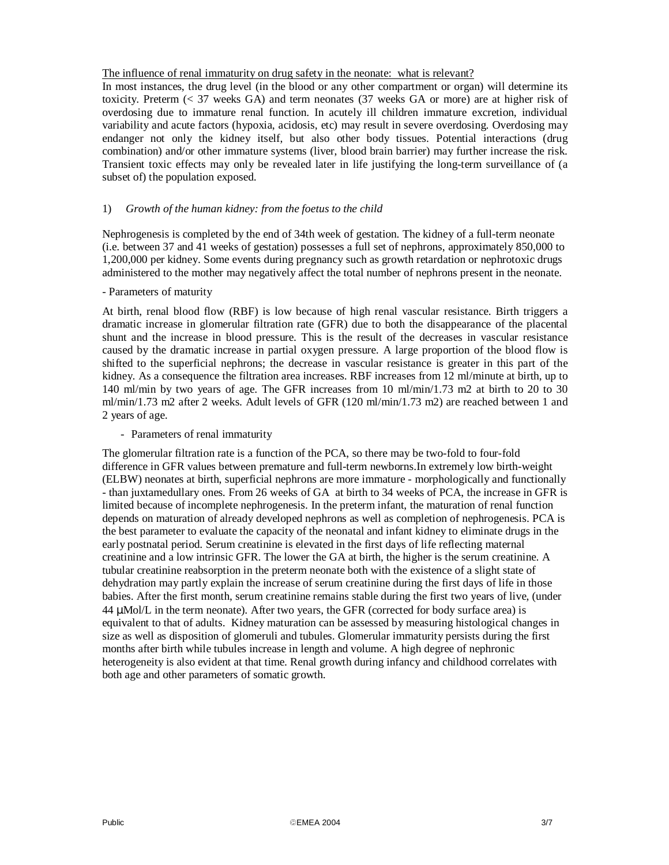## The influence of renal immaturity on drug safety in the neonate: what is relevant?

In most instances, the drug level (in the blood or any other compartment or organ) will determine its toxicity. Preterm (< 37 weeks GA) and term neonates (37 weeks GA or more) are at higher risk of overdosing due to immature renal function. In acutely ill children immature excretion, individual variability and acute factors (hypoxia, acidosis, etc) may result in severe overdosing. Overdosing may endanger not only the kidney itself, but also other body tissues. Potential interactions (drug combination) and/or other immature systems (liver, blood brain barrier) may further increase the risk. Transient toxic effects may only be revealed later in life justifying the long-term surveillance of (a subset of) the population exposed.

## 1) *Growth of the human kidney: from the foetus to the child*

Nephrogenesis is completed by the end of 34th week of gestation. The kidney of a full-term neonate (i.e. between 37 and 41 weeks of gestation) possesses a full set of nephrons, approximately 850,000 to 1,200,000 per kidney. Some events during pregnancy such as growth retardation or nephrotoxic drugs administered to the mother may negatively affect the total number of nephrons present in the neonate.

#### - Parameters of maturity

At birth, renal blood flow (RBF) is low because of high renal vascular resistance. Birth triggers a dramatic increase in glomerular filtration rate (GFR) due to both the disappearance of the placental shunt and the increase in blood pressure. This is the result of the decreases in vascular resistance caused by the dramatic increase in partial oxygen pressure. A large proportion of the blood flow is shifted to the superficial nephrons; the decrease in vascular resistance is greater in this part of the kidney. As a consequence the filtration area increases. RBF increases from 12 ml/minute at birth, up to 140 ml/min by two years of age. The GFR increases from 10 ml/min/1.73 m2 at birth to 20 to 30 ml/min/1.73 m2 after 2 weeks. Adult levels of GFR (120 ml/min/1.73 m2) are reached between 1 and 2 years of age.

#### - Parameters of renal immaturity

The glomerular filtration rate is a function of the PCA, so there may be two-fold to four-fold difference in GFR values between premature and full-term newborns.In extremely low birth-weight (ELBW) neonates at birth, superficial nephrons are more immature - morphologically and functionally - than juxtamedullary ones. From 26 weeks of GA at birth to 34 weeks of PCA, the increase in GFR is limited because of incomplete nephrogenesis. In the preterm infant, the maturation of renal function depends on maturation of already developed nephrons as well as completion of nephrogenesis. PCA is the best parameter to evaluate the capacity of the neonatal and infant kidney to eliminate drugs in the early postnatal period. Serum creatinine is elevated in the first days of life reflecting maternal creatinine and a low intrinsic GFR. The lower the GA at birth, the higher is the serum creatinine. A tubular creatinine reabsorption in the preterm neonate both with the existence of a slight state of dehydration may partly explain the increase of serum creatinine during the first days of life in those babies. After the first month, serum creatinine remains stable during the first two years of live, (under 44 µMol/L in the term neonate). After two years, the GFR (corrected for body surface area) is equivalent to that of adults. Kidney maturation can be assessed by measuring histological changes in size as well as disposition of glomeruli and tubules. Glomerular immaturity persists during the first months after birth while tubules increase in length and volume. A high degree of nephronic heterogeneity is also evident at that time. Renal growth during infancy and childhood correlates with both age and other parameters of somatic growth.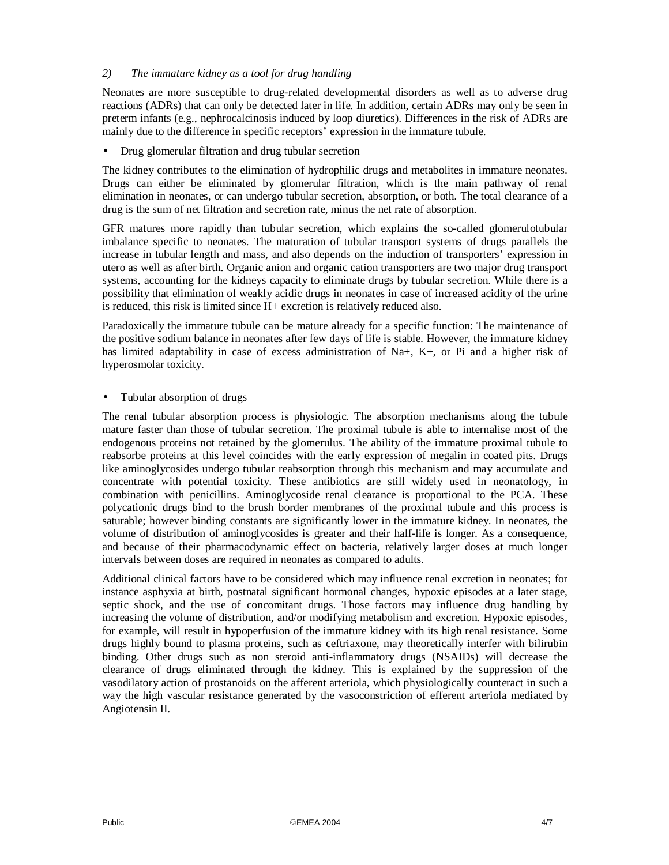# *2) The immature kidney as a tool for drug handling*

Neonates are more susceptible to drug-related developmental disorders as well as to adverse drug reactions (ADRs) that can only be detected later in life. In addition, certain ADRs may only be seen in preterm infants (e.g., nephrocalcinosis induced by loop diuretics). Differences in the risk of ADRs are mainly due to the difference in specific receptors' expression in the immature tubule.

• Drug glomerular filtration and drug tubular secretion

The kidney contributes to the elimination of hydrophilic drugs and metabolites in immature neonates. Drugs can either be eliminated by glomerular filtration, which is the main pathway of renal elimination in neonates, or can undergo tubular secretion, absorption, or both. The total clearance of a drug is the sum of net filtration and secretion rate, minus the net rate of absorption.

GFR matures more rapidly than tubular secretion, which explains the so-called glomerulotubular imbalance specific to neonates. The maturation of tubular transport systems of drugs parallels the increase in tubular length and mass, and also depends on the induction of transporters' expression in utero as well as after birth. Organic anion and organic cation transporters are two major drug transport systems, accounting for the kidneys capacity to eliminate drugs by tubular secretion. While there is a possibility that elimination of weakly acidic drugs in neonates in case of increased acidity of the urine is reduced, this risk is limited since H+ excretion is relatively reduced also.

Paradoxically the immature tubule can be mature already for a specific function: The maintenance of the positive sodium balance in neonates after few days of life is stable. However, the immature kidney has limited adaptability in case of excess administration of Na+, K+, or Pi and a higher risk of hyperosmolar toxicity.

• Tubular absorption of drugs

The renal tubular absorption process is physiologic. The absorption mechanisms along the tubule mature faster than those of tubular secretion. The proximal tubule is able to internalise most of the endogenous proteins not retained by the glomerulus. The ability of the immature proximal tubule to reabsorbe proteins at this level coincides with the early expression of megalin in coated pits. Drugs like aminoglycosides undergo tubular reabsorption through this mechanism and may accumulate and concentrate with potential toxicity. These antibiotics are still widely used in neonatology, in combination with penicillins. Aminoglycoside renal clearance is proportional to the PCA. These polycationic drugs bind to the brush border membranes of the proximal tubule and this process is saturable; however binding constants are significantly lower in the immature kidney. In neonates, the volume of distribution of aminoglycosides is greater and their half-life is longer. As a consequence, and because of their pharmacodynamic effect on bacteria, relatively larger doses at much longer intervals between doses are required in neonates as compared to adults.

Additional clinical factors have to be considered which may influence renal excretion in neonates; for instance asphyxia at birth, postnatal significant hormonal changes, hypoxic episodes at a later stage, septic shock, and the use of concomitant drugs. Those factors may influence drug handling by increasing the volume of distribution, and/or modifying metabolism and excretion. Hypoxic episodes, for example, will result in hypoperfusion of the immature kidney with its high renal resistance. Some drugs highly bound to plasma proteins, such as ceftriaxone, may theoretically interfer with bilirubin binding. Other drugs such as non steroid anti-inflammatory drugs (NSAIDs) will decrease the clearance of drugs eliminated through the kidney. This is explained by the suppression of the vasodilatory action of prostanoids on the afferent arteriola, which physiologically counteract in such a way the high vascular resistance generated by the vasoconstriction of efferent arteriola mediated by Angiotensin II.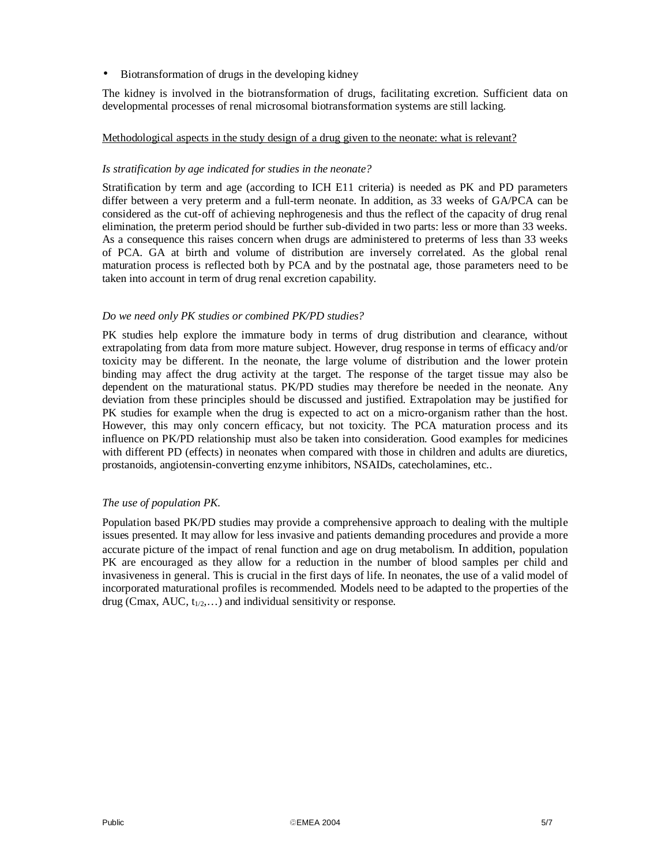• Biotransformation of drugs in the developing kidney

The kidney is involved in the biotransformation of drugs, facilitating excretion. Sufficient data on developmental processes of renal microsomal biotransformation systems are still lacking.

# Methodological aspects in the study design of a drug given to the neonate: what is relevant?

## *Is stratification by age indicated for studies in the neonate?*

Stratification by term and age (according to ICH E11 criteria) is needed as PK and PD parameters differ between a very preterm and a full-term neonate. In addition, as 33 weeks of GA/PCA can be considered as the cut-off of achieving nephrogenesis and thus the reflect of the capacity of drug renal elimination, the preterm period should be further sub-divided in two parts: less or more than 33 weeks. As a consequence this raises concern when drugs are administered to preterms of less than 33 weeks of PCA. GA at birth and volume of distribution are inversely correlated. As the global renal maturation process is reflected both by PCA and by the postnatal age, those parameters need to be taken into account in term of drug renal excretion capability.

## *Do we need only PK studies or combined PK/PD studies?*

PK studies help explore the immature body in terms of drug distribution and clearance, without extrapolating from data from more mature subject. However, drug response in terms of efficacy and/or toxicity may be different. In the neonate, the large volume of distribution and the lower protein binding may affect the drug activity at the target. The response of the target tissue may also be dependent on the maturational status. PK/PD studies may therefore be needed in the neonate. Any deviation from these principles should be discussed and justified. Extrapolation may be justified for PK studies for example when the drug is expected to act on a micro-organism rather than the host. However, this may only concern efficacy, but not toxicity. The PCA maturation process and its influence on PK/PD relationship must also be taken into consideration. Good examples for medicines with different PD (effects) in neonates when compared with those in children and adults are diuretics, prostanoids, angiotensin-converting enzyme inhibitors, NSAIDs, catecholamines, etc..

## *The use of population PK.*

Population based PK/PD studies may provide a comprehensive approach to dealing with the multiple issues presented. It may allow for less invasive and patients demanding procedures and provide a more accurate picture of the impact of renal function and age on drug metabolism. In addition, population PK are encouraged as they allow for a reduction in the number of blood samples per child and invasiveness in general. This is crucial in the first days of life. In neonates, the use of a valid model of incorporated maturational profiles is recommended. Models need to be adapted to the properties of the drug (Cmax, AUC,  $t_{1/2}$ ,...) and individual sensitivity or response.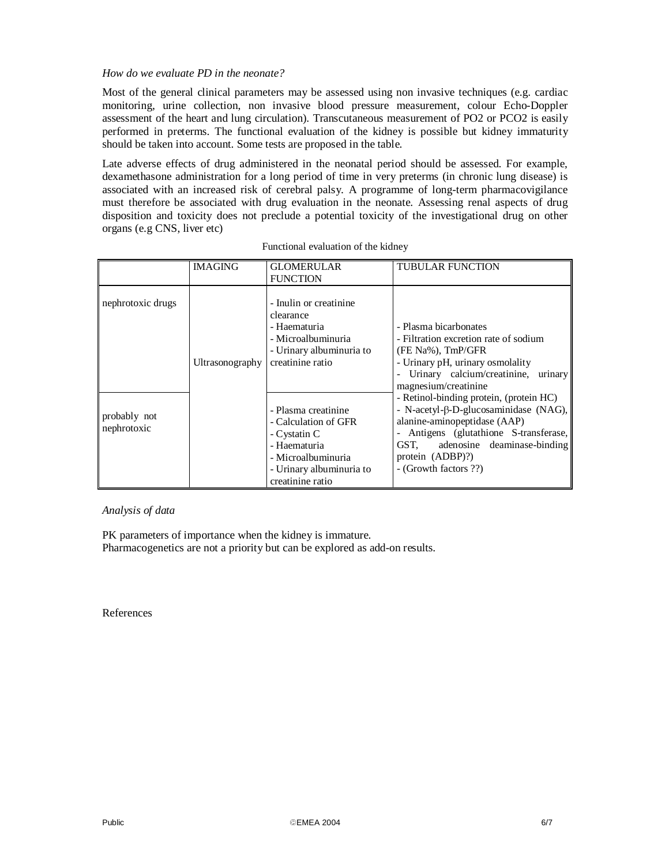## *How do we evaluate PD in the neonate?*

Most of the general clinical parameters may be assessed using non invasive techniques (e.g. cardiac monitoring, urine collection, non invasive blood pressure measurement, colour Echo-Doppler assessment of the heart and lung circulation). Transcutaneous measurement of PO2 or PCO2 is easily performed in preterms. The functional evaluation of the kidney is possible but kidney immaturity should be taken into account. Some tests are proposed in the table.

Late adverse effects of drug administered in the neonatal period should be assessed. For example, dexamethasone administration for a long period of time in very preterms (in chronic lung disease) is associated with an increased risk of cerebral palsy. A programme of long-term pharmacovigilance must therefore be associated with drug evaluation in the neonate. Assessing renal aspects of drug disposition and toxicity does not preclude a potential toxicity of the investigational drug on other organs (e.g CNS, liver etc)

|                             | <b>IMAGING</b>  | <b>GLOMERULAR</b><br><b>FUNCTION</b>                                                                                                              | <b>TUBULAR FUNCTION</b>                                                                                                                                                                                                                                |
|-----------------------------|-----------------|---------------------------------------------------------------------------------------------------------------------------------------------------|--------------------------------------------------------------------------------------------------------------------------------------------------------------------------------------------------------------------------------------------------------|
| nephrotoxic drugs           | Ultrasonography | - Inulin or creatinine<br>clearance<br>- Haematuria<br>- Microalbuminuria<br>- Urinary albuminuria to<br>creatinine ratio                         | - Plasma bicarbonates<br>- Filtration excretion rate of sodium<br>(FE Na%), TmP/GFR<br>- Urinary pH, urinary osmolality<br>Urinary calcium/creatinine, urinary<br>magnesium/creatinine                                                                 |
| probably not<br>nephrotoxic |                 | - Plasma creatinine<br>- Calculation of GFR<br>- Cystatin C<br>- Haematuria<br>- Microalbuminuria<br>- Urinary albuminuria to<br>creatinine ratio | - Retinol-binding protein, (protein HC)<br>- N-acetyl- $\beta$ -D-glucosaminidase (NAG),<br>alanine-aminopeptidase (AAP)<br>- Antigens (glutathione S-transferase,<br>adenosine deaminase-binding<br>GST.<br>protein (ADBP)?)<br>- (Growth factors ??) |

#### *Analysis of data*

PK parameters of importance when the kidney is immature. Pharmacogenetics are not a priority but can be explored as add-on results.

References